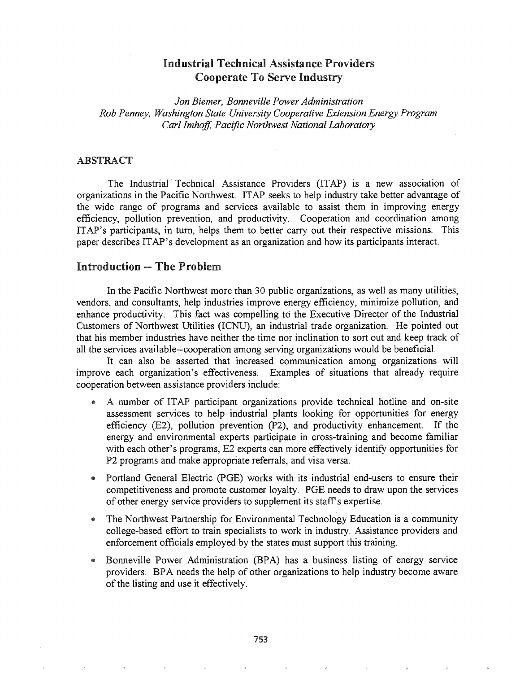# Industrial Technical Assistance Providers Cooperate To Serve Industry

*Jon Biemer, Bonneville Power Administration Rob Penney, Washington State (]niversity Cooperative Extension Energy Program Carl Imhoff, Pacific Northwest National Laboratory*

### ABSTRACT

The Industrial Technical Assistance Providers (ITAP) is a new association of organizations in the Pacific Northwest. ITAP seeks to help industry take better advantage of the wide range of programs and services available to assist them in improving energy efficiency, pollution prevention, and productivity. Cooperation and coordination among ITAP's participants, in tum, helps them to better carry out their respective missions. This paper describes ITAP's development as an organization and how its participants interact.

## Introduction -- The Problem

In the Pacific Northwest more than 30 public organizations, as well as many utilities, vendors, and consultants, help industries improve energy efficiency, minimize pollution, and enhance productivity. This fact was compelling to the Executive Director of the Industrial Customers of Northwest Utilities (ICNU), an industrial trade organization. He pointed out that his member industries have neither the time nor inclination to sort out and keep track of all the services available--cooperation among serving organizations would be beneficial.

It can also be asserted that increased communication among organizations will improve each organization's effectiveness. Examples of situations that already require cooperation between assistance providers include:

- A number of ITAP participant organizations provide technical hotline and on-site assessment services to help industrial plants looking for opportunities for energy efficiency (E2), pollution prevention (P2), and productivity enhancement. If the energy and environmental experts participate in cross-training and become familiar with each other's programs, E2 experts can more effectively identify opportunities for P2 programs and make appropriate referrals, and visa versa.
- @ Portland General Electric (PGE) works with its industrial end-users to ensure their competitiveness and promote customer loyalty. PGE needs to draw upon the services of other energy service providers to supplement its staff's expertise.
- The Northwest Partnership for Environmental Technology Education is a community college-based effort to train specialists to work in industry. Assistance providers and enforcement officials employed by the states must support this training.
- Bonneville Power Administration (BPA) has a business listing of energy service providers. BPA needs the help of other organizations to help industry become aware of the listing and use it effectively.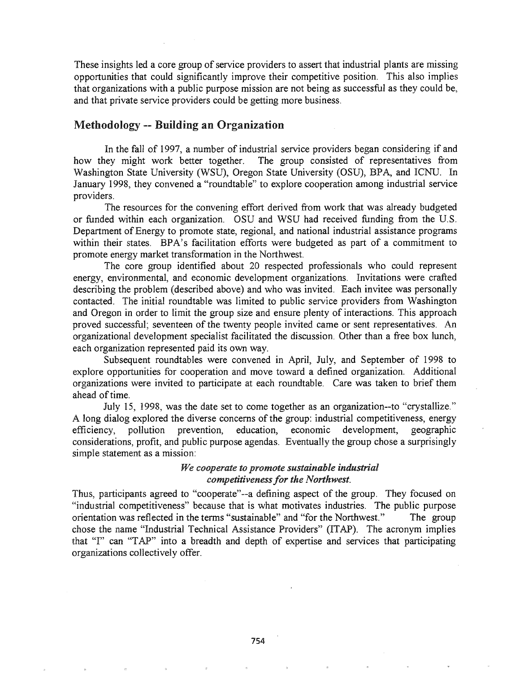These insights led a core group of service providers to assert that industrial plants are missing opportunities that could significantly improve their competitive position. This also implies that organizations with a public purpose mission are not being as successful as they could be, and that private service providers could be getting more business.

### Methodology -- Building an Organization

In the fall of 1997, a number of industrial service providers began considering if and how they might work better together. The group consisted of representatives from The group consisted of representatives from Washington State University (WSU), Oregon State University (OSU), BPA, and ICNU. In January 1998, they convened a "roundtable" to explore cooperation among industrial service providers.

The resources for the convening effort derived from work that was already budgeted or funded within each organization. OSU and WSU had received funding from the U.S. Department of Energy to promote state, regional, and national industrial assistance programs within their states. BPA's facilitation efforts were budgeted as part of a commitment to promote energy market transformation in the Northwest.

The core group identified about 20 respected professionals who could represent energy, environmental, and economic development organizations. Invitations were crafted describing the problem (described above) and who was invited. Each invitee was personally contacted. The initial roundtable was limited to public service providers from Washington and Oregon in order to limit the group size and ensure plenty of interactions. This approach proved successful; seventeen of the twenty people invited came or sent representatives. An organizational development specialist facifitated the discussion. Other than a free box lunch, each organization represented paid its own way.

Subsequent roundtables were convened in April, July, and September of 1998 to explore opportunities for cooperation and move toward a defined organization. Additional organizations were invited to participate at each roundtable. Care was taken to brief them ahead of time.

July 15, 1998, was the date set to come together as an organization--to "crystallize." A long dialog explored the diverse concerns of the group: industrial competitiveness, energy efficiency, pollution prevention, education, economic development, geographic considerations, profit, and public purpose agendas. Eventually the group chose a surprisingly simple statement as a mission:

### *We cooperate to promote sustainable industrial competitivenessfor the Northwest.*

Thus, participants agreed to "cooperate"--a defining aspect of the group. They focused on "industrial competitiveness" because that is what motivates industries. The public purpose orientation was reflected in the terms "sustainable" and "for the Northwest." The group chose the name "Industrial Technical Assistance Providers" (ITAP). The acronym implies that "I" can "TAP" into a breadth and depth of expertise and services that participating organizations collectively offer.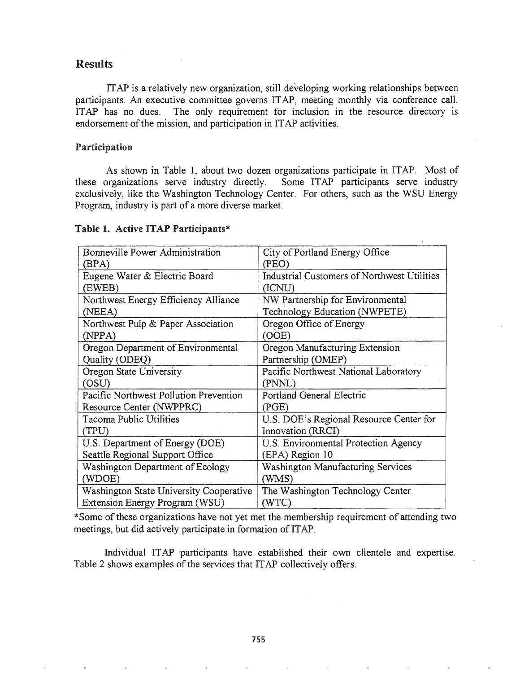### Results

ITAP is a relatively new organization, still developing working relationships between participants. An executive committee governs ITAP, meeting monthly via conference call. ITAP has no dues. The only requirement for inclusion in the resource directory is endorsement of the mission, and participation in ITAP activities.

#### Participation

As shown in Table 1, about two dozen organizations participate in ITAP. Most of organizations serve industry directly. Some ITAP participants serve industry these organizations serve industry directly. exclusively, like the Washington Technology Center. For others, such as the WSU Energy Program, industry is part of a more diverse market.

#### Table 1. Active ITAP Participants\*

| Bonneville Power Administration                | City of Portland Energy Office              |
|------------------------------------------------|---------------------------------------------|
| (BPA)                                          | (PEO)                                       |
| Eugene Water & Electric Board                  | Industrial Customers of Northwest Utilities |
| (EWEB)                                         | (ICNU)                                      |
| Northwest Energy Efficiency Alliance           | NW Partnership for Environmental            |
| (NEEA)                                         | Technology Education (NWPETE)               |
| Northwest Pulp & Paper Association             | Oregon Office of Energy                     |
| (NPPA)                                         | OOE)                                        |
| Oregon Department of Environmental             | Oregon Manufacturing Extension              |
| Quality (ODEQ)                                 | Partnership (OMEP)                          |
| Oregon State University                        | Pacific Northwest National Laboratory       |
| (OSU)                                          | (PNNL)                                      |
| Pacific Northwest Pollution Prevention         | Portland General Electric                   |
| <b>Resource Center (NWPPRC)</b>                | (PGE)                                       |
| Tacoma Public Utilities                        | U.S. DOE's Regional Resource Center for     |
| (TPU)                                          | Innovation (RRCI)                           |
| U.S. Department of Energy (DOE)                | U.S. Environmental Protection Agency        |
| Seattle Regional Support Office                | (EPA) Region 10                             |
| Washington Department of Ecology               | Washington Manufacturing Services           |
| (WDOE)                                         | (WMS)                                       |
| <b>Washington State University Cooperative</b> | The Washington Technology Center            |
| Extension Energy Program (WSU)                 | (WTC)                                       |

\*Some of these organizations have not yet met the membership requirement of attending two meetings, but did actively participate in formation of ITAP.

Individual ITAP participants have established their own clientele and expertise. Table 2 shows examples of the services that ITAP collectively offers.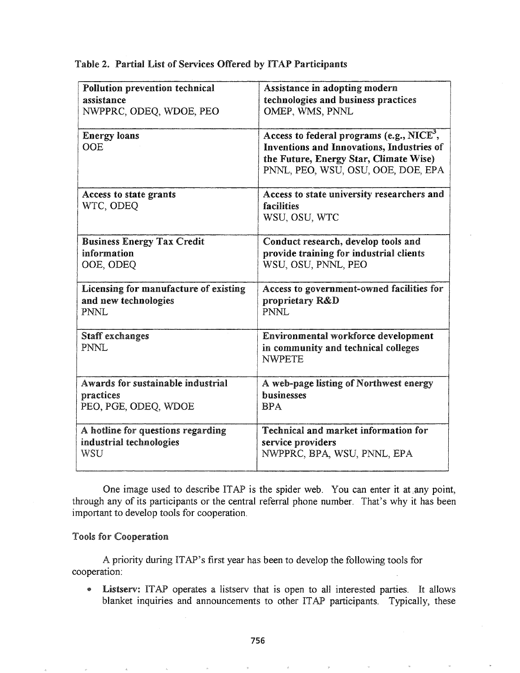### Table 2. Partial List of Services Offered by ITAP Participants

| <b>Pollution prevention technical</b> | Assistance in adopting modern                                                                                                                                                      |
|---------------------------------------|------------------------------------------------------------------------------------------------------------------------------------------------------------------------------------|
| assistance                            | technologies and business practices                                                                                                                                                |
| NWPPRC, ODEQ, WDOE, PEO               | OMEP, WMS, PNNL                                                                                                                                                                    |
| <b>Energy loans</b><br><b>OOE</b>     | Access to federal programs (e.g., NICE <sup>3</sup> ,<br>Inventions and Innovations, Industries of<br>the Future, Energy Star, Climate Wise)<br>PNNL, PEO, WSU, OSU, OOE, DOE, EPA |
| Access to state grants<br>WTC, ODEQ   | Access to state university researchers and<br>facilities<br>WSU, OSU, WTC                                                                                                          |
| <b>Business Energy Tax Credit</b>     | Conduct research, develop tools and                                                                                                                                                |
| information                           | provide training for industrial clients                                                                                                                                            |
| OOE, ODEQ                             | WSU, OSU, PNNL, PEO                                                                                                                                                                |
| Licensing for manufacture of existing | Access to government-owned facilities for                                                                                                                                          |
| and new technologies                  | proprietary R&D                                                                                                                                                                    |
| PNNL                                  | PNNL                                                                                                                                                                               |
| Staff exchanges                       | Environmental workforce development                                                                                                                                                |
| <b>PNNL</b>                           | in community and technical colleges<br><b>NWPETE</b>                                                                                                                               |
| Awards for sustainable industrial     | A web-page listing of Northwest energy                                                                                                                                             |
| practices                             | <b>businesses</b>                                                                                                                                                                  |
| PEO, PGE, ODEQ, WDOE                  | <b>RPA</b>                                                                                                                                                                         |
| A hotline for questions regarding     | <b>Technical and market information for</b>                                                                                                                                        |
| industrial technologies               | service providers                                                                                                                                                                  |
| WSU                                   | NWPPRC, BPA, WSU, PNNL, EPA                                                                                                                                                        |

One image used to describe ITAP is the spider web. You can enter it at any point, through any of its participants or the central referral phone number. That's why it has been important to develop tools for cooperation.

### **Tools for Cooperation**

A priority during ITAP's first year has been to develop the following tools for cooperation:

@ Listserv: ITAP operates a Iistserv that is open to all interested parties. It allows blanket inquiries and announcements to other ITAP participants. Typically, these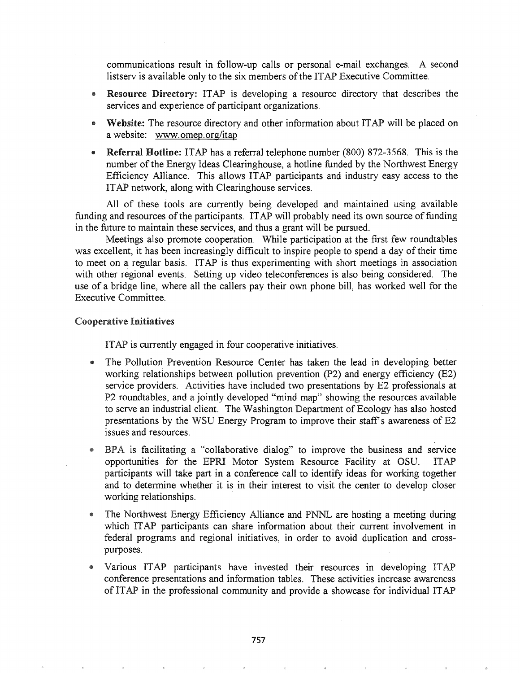communications result in follow-up calls or personal e-mail exchanges. A second listserv is available only to the six members of the ITAP Executive Committee.

- Resource Directory: ITAP is developing a resource directory that describes the services and experience of participant organizations.
- Website: The resource directory and other information about ITAP will be placed on a website: www.omep.org/itap
- Referral Hotline: ITAP has a referral telephone number (800) 872-3568. This is the number of the Energy Ideas Clearinghouse, a hotline funded by the Northwest Energy Efficiency Alliance. This allows ITAP participants and industry easy access to the ITAP network, along with Clearinghouse services.

All of these tools are currently being developed and maintained using available funding and resources of the participants. ITAP will probably need its own source of funding in the future to maintain these services, and thus a grant will be pursued.

Meetings also promote cooperation. While participation at the first few roundtables was excellent, it has been increasingly difficult to inspire people to spend a day of their time to meet on a regular basis. ITAP is thus experimenting with short meetings in association with other regional events. Setting up video teleconferences is also being considered. The use of a bridge line, where all the callers pay their own phone bill, has worked well for the Executive Committee.

#### Cooperative Initiatives

ITAP is currently engaged in four cooperative initiatives.

- @ The Pollution Prevention Resource Center has taken the lead in developing better working relationships between pollution prevention  $(P2)$  and energy efficiency  $(E2)$ service providers. Activities have included two presentations by E2 professionals at P2 roundtables, and a jointly developed "mind map" showing the resources available to serve an industrial client. The Washington Department of Ecology has also hosted presentations by the WSU Energy Program to improve their staff's awareness of E2 issues and resources.
- BPA is facilitating a "collaborative dialog" to improve the business and service opportunities for the EPRI Motor System Resource Facility at OSU. ITAP participants will take part in a conference call to identify ideas for working together and to determine whether it is in their interest to visit the center to develop closer working relationships. .
- The Northwest Energy Efficiency Alliance and PNNL are hosting a meeting during which ITAP participants can share information about their current involvement in federal programs and regional initiatives, in order to avoid duplication and crosspurposes.
- ® Various IT participants have invested their resources in developing ITAP conference presentations and information tables. These activities increase awareness of ITAP in the professional community and provide a showcase for individual ITAP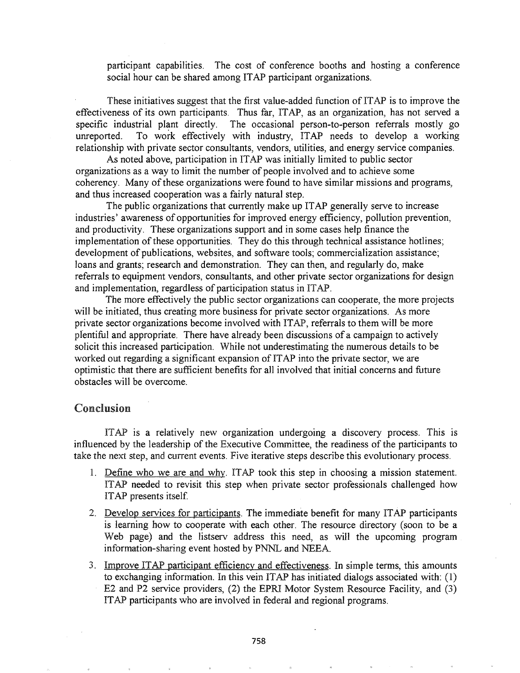participant capabilities. The cost of conference booths and hosting a conference social hour can be shared among ITAP participant organizations.

These initiatives suggest that the first value-added function of ITAP is to improve the effectiveness of its own participants. Thus far, ITAP, as an organization, has not served a specific industrial plant directly. The occasional person-to-person referrals mostly go unreported. To work effectively with industry, ITAP needs to develop a working relationship with private sector consultants, vendors, utilities, and energy service companies.

As noted above, participation in ITAP was initially limited to public sector organizations as a way to limit the number of people involved and to achieve some coherency. Many of these organizations were found to have similar missions and programs, and thus increased cooperation was a fairly natural step.

The public organizations that currently make up ITAP generally serve to increase industries' awareness of opportunities for improved energy efficiency, pollution prevention, and productivity. These organizations support and in some cases help finance the implementation of these opportunities. They do this through technical assistance hotlines; development of publications, websites, and software tools; commercialization assistance; loans and grants; research and demonstration. They can then, and regularly do, make referrals to equipment vendors, consultants, and other private sector organizations for design and implementation, regardless of participation status in ITAP.

The more effectively the public sector organizations can cooperate, the more projects will be initiated, thus creating more business for private sector organizations. As more private sector organizations become involved with ITAP, referrals to them will be more plentiful and appropriate. There have already been discussions of a campaign to actively solicit this increased participation. While not underestimating the numerous details to be worked out regarding a significant expansion of ITAP into the private sector, we are optimistic that there are sufficient benefits for all involved that initial concerns and future obstacles will be overcome.

### Conclusion

ITAP is a relatively new organization undergoing a discovery process. This is influenced by the leadership of the Executive Committee, the readiness of the participants to take the next step, and current events. Five iterative steps describe this evolutionary process.

- 1. Define who we are and why. ITAP took this step in choosing a mission statement. ITAP needed to revisit this step when private sector professionals challenged how ITAP presents itself.
- 2. Develop services for participants. The immediate benefit for many ITAP participants is learning how to cooperate with each other. The resource directory (soon to be a Web page) and the listserv address this need, as will the upcoming program information-sharing event hosted by PNNL and NEEA.
- 3. Improve ITAP participant efficiency and effectiveness. In simple terms, this amounts to exchanging information. In this vein ITAP has initiated dialogs associated with:  $(1)$ E2 and P2 service providers, (2) the EPRI Motor System Resource Facility, and (3) ITAP participants who are involved in federal and regional programs.